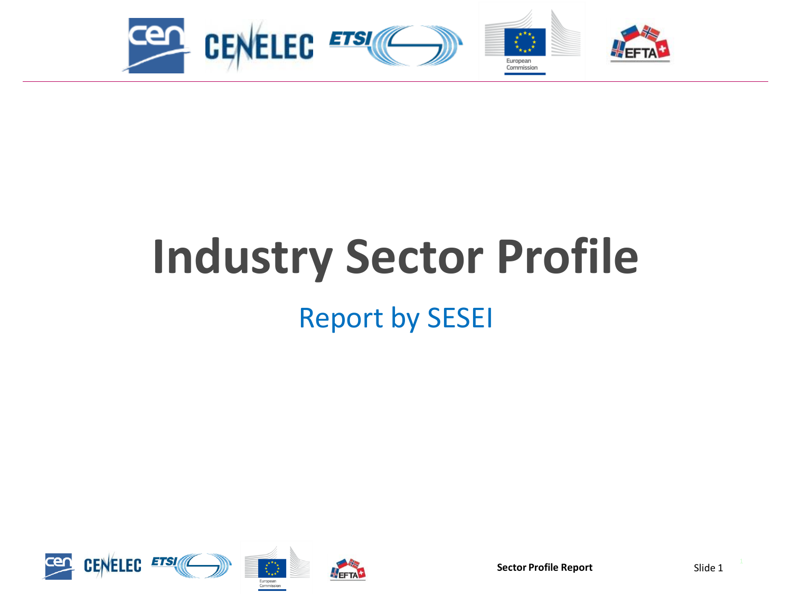

# **Industry Sector Profile**

Report by SESEI

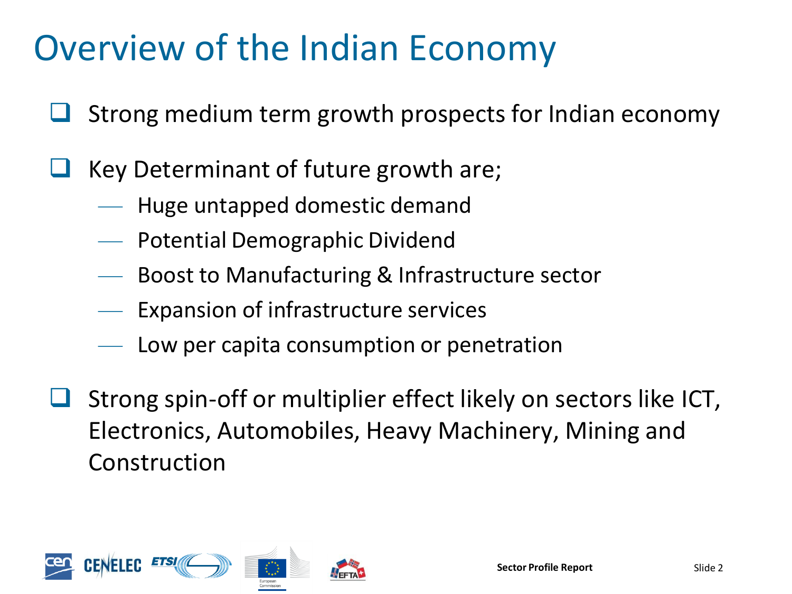# Overview of the Indian Economy

- Strong medium term growth prospects for Indian economy
- Key Determinant of future growth are;
	- Huge untapped domestic demand
	- Potential Demographic Dividend
	- Boost to Manufacturing & Infrastructure sector
	- Expansion of infrastructure services
	- Low per capita consumption or penetration
- Strong spin-off or multiplier effect likely on sectors like ICT, Electronics, Automobiles, Heavy Machinery, Mining and Construction

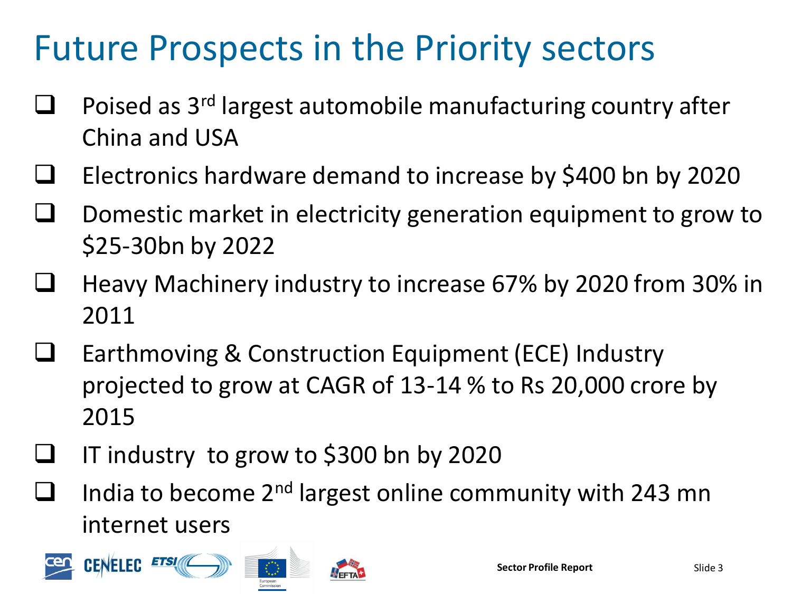# Future Prospects in the Priority sectors

- Poised as 3rd largest automobile manufacturing country after China and USA
- $\Box$  Electronics hardware demand to increase by \$400 bn by 2020
- Domestic market in electricity generation equipment to grow to \$25-30bn by 2022
- Heavy Machinery industry to increase 67% by 2020 from 30% in 2011
- Earthmoving & Construction Equipment (ECE) Industry projected to grow at CAGR of 13-14 % to Rs 20,000 crore by 2015
- IT industry to grow to \$300 bn by 2020
- **I** India to become 2<sup>nd</sup> largest online community with 243 mn internet users

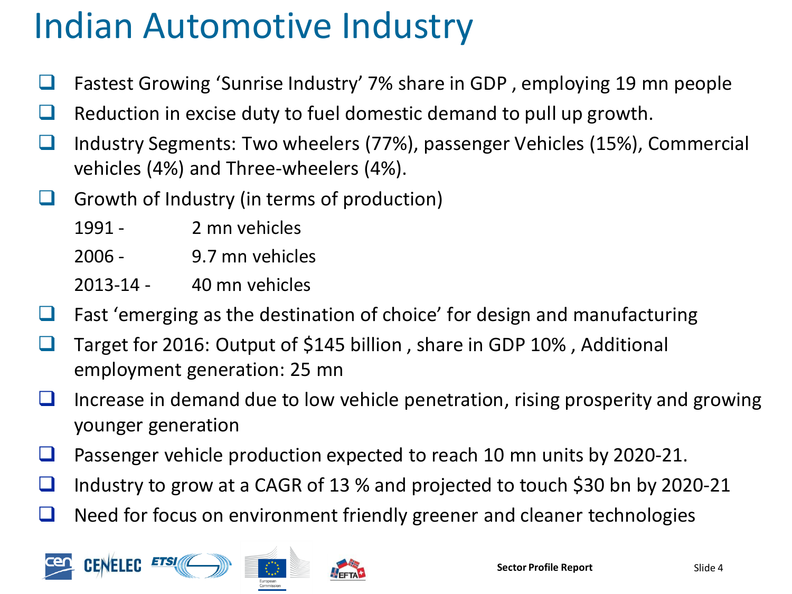# Indian Automotive Industry

- Fastest Growing 'Sunrise Industry' 7% share in GDP, employing 19 mn people
- $\Box$  Reduction in excise duty to fuel domestic demand to pull up growth.
- Industry Segments: Two wheelers (77%), passenger Vehicles (15%), Commercial vehicles (4%) and Three-wheelers (4%).
- Growth of Industry (in terms of production)
	- 1991 2 mn vehicles
	- 2006 9.7 mn vehicles
	- 2013-14 40 mn vehicles
- $\Box$  Fast 'emerging as the destination of choice' for design and manufacturing
- **□** Target for 2016: Output of \$145 billion, share in GDP 10%, Additional employment generation: 25 mn
- Increase in demand due to low vehicle penetration, rising prosperity and growing younger generation
- Passenger vehicle production expected to reach 10 mn units by 2020-21.
- Industry to grow at a CAGR of 13 % and projected to touch \$30 bn by 2020-21
- $\Box$  Need for focus on environment friendly greener and cleaner technologies

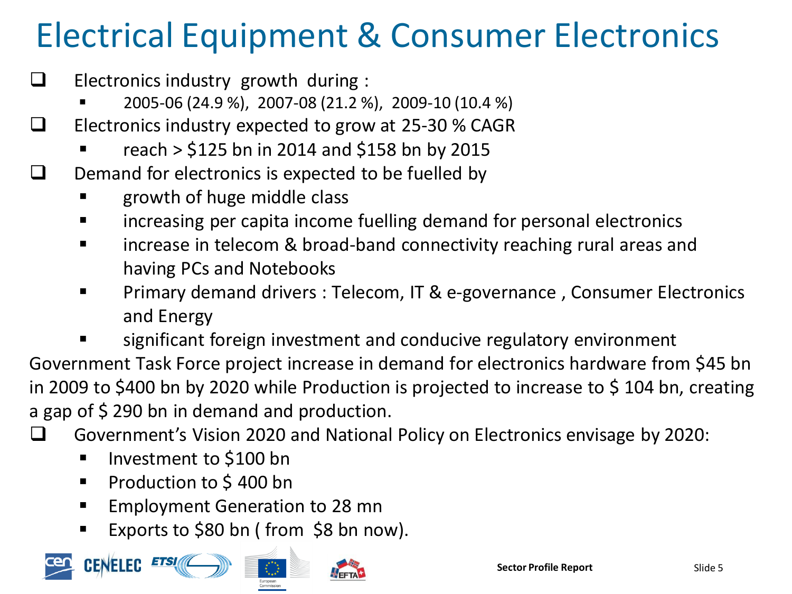# Electrical Equipment & Consumer Electronics

- $\Box$  Electronics industry growth during :
	- 2005-06 (24.9 %), 2007-08 (21.2 %), 2009-10 (10.4 %)
- $\Box$  Electronics industry expected to grow at 25-30 % CAGR
	- reach > \$125 bn in 2014 and \$158 bn by 2015
- $\Box$  Demand for electronics is expected to be fuelled by
	- growth of huge middle class
	- increasing per capita income fuelling demand for personal electronics
	- **IVEL 12** increase in telecom & broad-band connectivity reaching rural areas and having PCs and Notebooks
	- Primary demand drivers : Telecom, IT & e-governance , Consumer Electronics and Energy
	- significant foreign investment and conducive regulatory environment

Government Task Force project increase in demand for electronics hardware from \$45 bn in 2009 to \$400 bn by 2020 while Production is projected to increase to \$ 104 bn, creating a gap of \$290 bn in demand and production.

Government's Vision 2020 and National Policy on Electronics envisage by 2020:

- **IDED** Investment to \$100 bn
- **Production to \$400 bn**
- **Employment Generation to 28 mn**
- Exports to  $$80$  bn (from  $$8$  bn now).

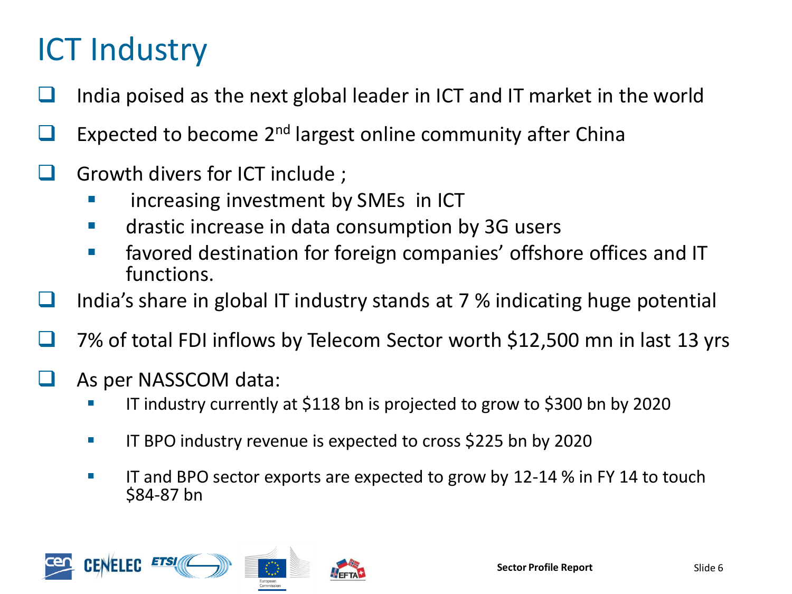## ICT Industry

- India poised as the next global leader in ICT and IT market in the world
- $\Box$  Expected to become 2<sup>nd</sup> largest online community after China
- Growth divers for ICT include ;
	- increasing investment by SMEs in ICT
	- **EXECUTE:** drastic increase in data consumption by 3G users
	- **Favored destination for foreign companies' offshore offices and IT** functions.
- **I** India's share in global IT industry stands at 7 % indicating huge potential
	- 7% of total FDI inflows by Telecom Sector worth \$12,500 mn in last 13 yrs
- As per NASSCOM data:
	- IT industry currently at \$118 bn is projected to grow to \$300 bn by 2020
	- **IF BPO industry revenue is expected to cross \$225 bn by 2020**
	- **IFM** IT and BPO sector exports are expected to grow by 12-14 % in FY 14 to touch \$84-87 bn

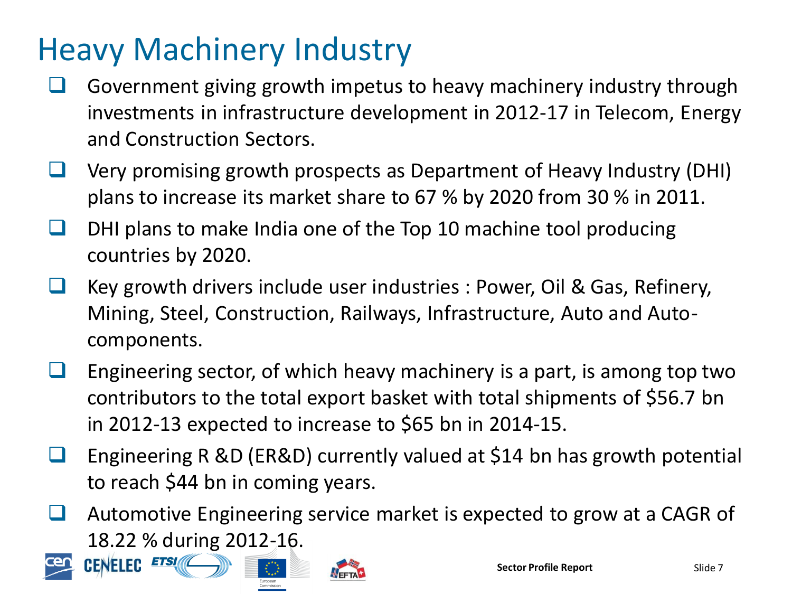### Heavy Machinery Industry

- Government giving growth impetus to heavy machinery industry through investments in infrastructure development in 2012-17 in Telecom, Energy and Construction Sectors.
- Very promising growth prospects as Department of Heavy Industry (DHI) plans to increase its market share to 67 % by 2020 from 30 % in 2011.
- DHI plans to make India one of the Top 10 machine tool producing countries by 2020.
- Key growth drivers include user industries : Power, Oil & Gas, Refinery, Mining, Steel, Construction, Railways, Infrastructure, Auto and Autocomponents.
- Engineering sector, of which heavy machinery is a part, is among top two contributors to the total export basket with total shipments of \$56.7 bn in 2012-13 expected to increase to \$65 bn in 2014-15.
- Engineering R &D (ER&D) currently valued at \$14 bn has growth potential to reach \$44 bn in coming years.
- Automotive Engineering service market is expected to grow at a CAGR of 18.22 % during 2012-16.



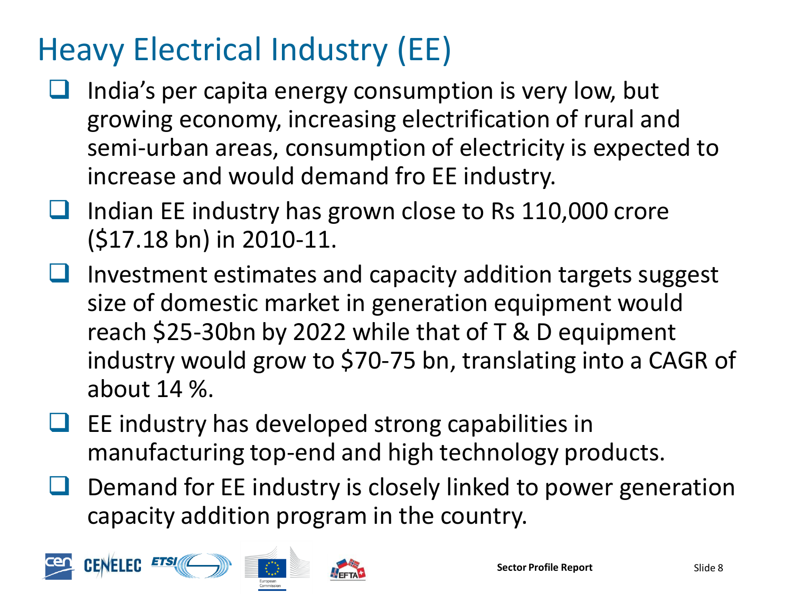## Heavy Electrical Industry (EE)

- $\Box$  India's per capita energy consumption is very low, but growing economy, increasing electrification of rural and semi-urban areas, consumption of electricity is expected to increase and would demand fro EE industry.
- $\Box$  Indian EE industry has grown close to Rs 110,000 crore (\$17.18 bn) in 2010-11.
- Investment estimates and capacity addition targets suggest size of domestic market in generation equipment would reach \$25-30bn by 2022 while that of T & D equipment industry would grow to \$70-75 bn, translating into a CAGR of about 14 %.
- $\Box$  EE industry has developed strong capabilities in manufacturing top-end and high technology products.
- Demand for EE industry is closely linked to power generation capacity addition program in the country.

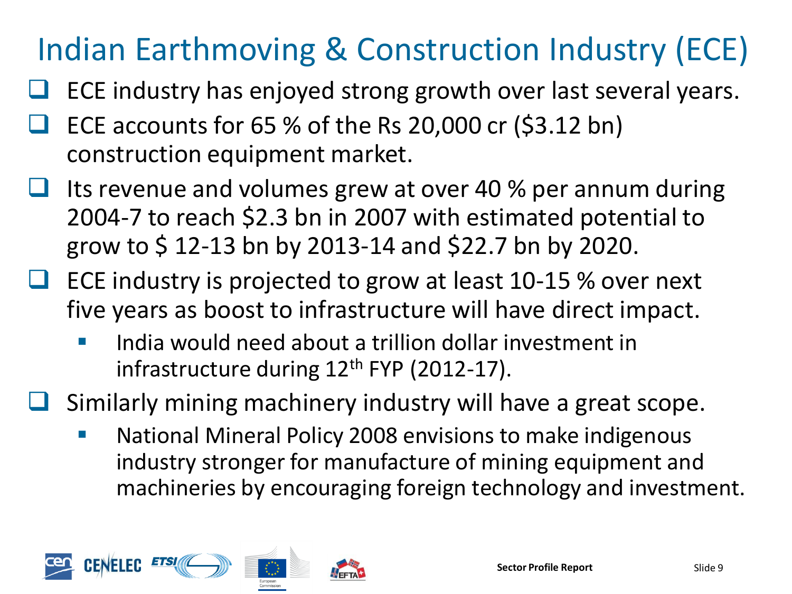## Indian Earthmoving & Construction Industry (ECE)

- ECE industry has enjoyed strong growth over last several years.
- ECE accounts for 65 % of the Rs 20,000 cr (\$3.12 bn) construction equipment market.
- Its revenue and volumes grew at over 40 % per annum during 2004-7 to reach \$2.3 bn in 2007 with estimated potential to grow to \$ 12-13 bn by 2013-14 and \$22.7 bn by 2020.
- ECE industry is projected to grow at least 10-15 % over next five years as boost to infrastructure will have direct impact.
	- India would need about a trillion dollar investment in infrastructure during  $12<sup>th</sup>$  FYP (2012-17).
- Similarly mining machinery industry will have a great scope.
	- National Mineral Policy 2008 envisions to make indigenous industry stronger for manufacture of mining equipment and machineries by encouraging foreign technology and investment.

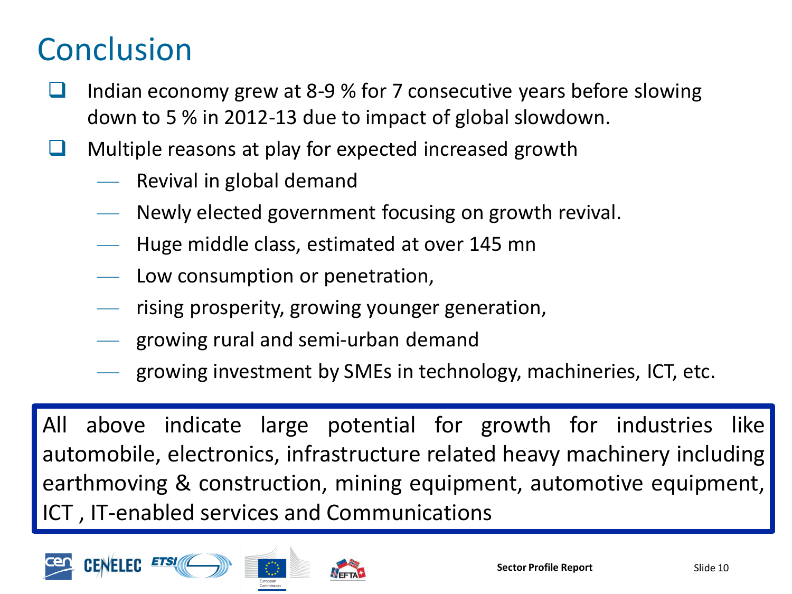#### **Conclusion**

- Indian economy grew at 8-9 % for 7 consecutive years before slowing down to 5 % in 2012-13 due to impact of global slowdown.
- Multiple reasons at play for expected increased growth
	- Revival in global demand
	- Newly elected government focusing on growth revival.
	- Huge middle class, estimated at over 145 mn
	- Low consumption or penetration,
	- rising prosperity, growing younger generation,
	- growing rural and semi-urban demand
	- growing investment by SMEs in technology, machineries, ICT, etc.

All above indicate large potential for growth for industries like automobile, electronics, infrastructure related heavy machinery including earthmoving & construction, mining equipment, automotive equipment, ICT , IT-enabled services and Communications